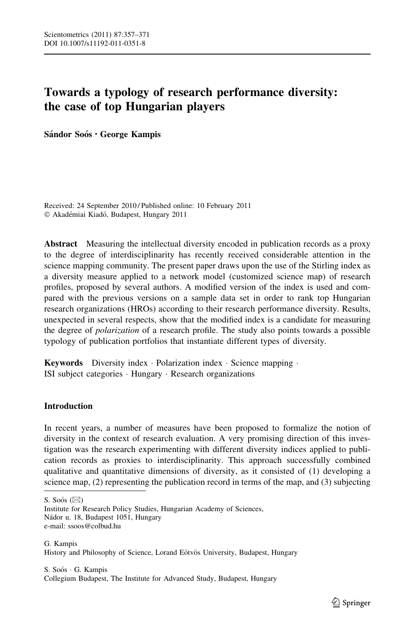# Towards a typology of research performance diversity: the case of top Hungarian players

Sándor Soós · George Kampis

Received: 24 September 2010 / Published online: 10 February 2011 © Akadémiai Kiadó, Budapest, Hungary 2011

Abstract Measuring the intellectual diversity encoded in publication records as a proxy to the degree of interdisciplinarity has recently received considerable attention in the science mapping community. The present paper draws upon the use of the Stirling index as a diversity measure applied to a network model (customized science map) of research profiles, proposed by several authors. A modified version of the index is used and compared with the previous versions on a sample data set in order to rank top Hungarian research organizations (HROs) according to their research performance diversity. Results, unexpected in several respects, show that the modified index is a candidate for measuring the degree of *polarization* of a research profile. The study also points towards a possible typology of publication portfolios that instantiate different types of diversity.

Keywords Diversity index · Polarization index · Science mapping · ISI subject categories - Hungary - Research organizations

## Introduction

In recent years, a number of measures have been proposed to formalize the notion of diversity in the context of research evaluation. A very promising direction of this investigation was the research experimenting with different diversity indices applied to publication records as proxies to interdisciplinarity. This approach successfully combined qualitative and quantitative dimensions of diversity, as it consisted of (1) developing a science map, (2) representing the publication record in terms of the map, and (3) subjecting

S. Soós  $(\boxtimes)$ 

Institute for Research Policy Studies, Hungarian Academy of Sciences, Nádor u. 18, Budapest 1051, Hungary e-mail: ssoos@colbud.hu

G. Kampis History and Philosophy of Science, Lorand Eötvös University, Budapest, Hungary

S. Soós · G. Kampis Collegium Budapest, The Institute for Advanced Study, Budapest, Hungary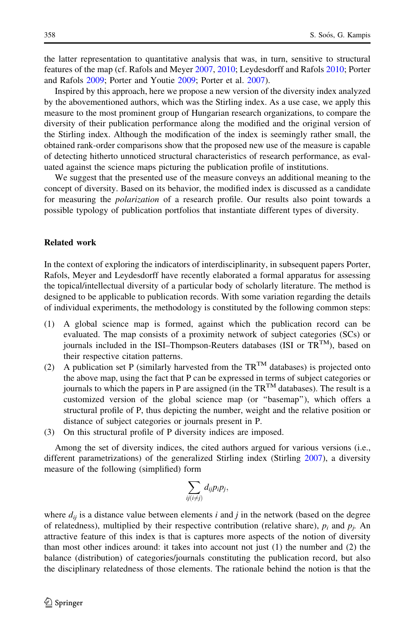the latter representation to quantitative analysis that was, in turn, sensitive to structural features of the map (cf. Rafols and Meyer [2007,](#page-14-0) [2010](#page-14-0); Leydesdorff and Rafols [2010;](#page-14-0) Porter and Rafols [2009](#page-14-0); Porter and Youtie [2009](#page-14-0); Porter et al. [2007\)](#page-14-0).

Inspired by this approach, here we propose a new version of the diversity index analyzed by the abovementioned authors, which was the Stirling index. As a use case, we apply this measure to the most prominent group of Hungarian research organizations, to compare the diversity of their publication performance along the modified and the original version of the Stirling index. Although the modification of the index is seemingly rather small, the obtained rank-order comparisons show that the proposed new use of the measure is capable of detecting hitherto unnoticed structural characteristics of research performance, as evaluated against the science maps picturing the publication profile of institutions.

We suggest that the presented use of the measure conveys an additional meaning to the concept of diversity. Based on its behavior, the modified index is discussed as a candidate for measuring the *polarization* of a research profile. Our results also point towards a possible typology of publication portfolios that instantiate different types of diversity.

#### Related work

In the context of exploring the indicators of interdisciplinarity, in subsequent papers Porter, Rafols, Meyer and Leydesdorff have recently elaborated a formal apparatus for assessing the topical/intellectual diversity of a particular body of scholarly literature. The method is designed to be applicable to publication records. With some variation regarding the details of individual experiments, the methodology is constituted by the following common steps:

- (1) A global science map is formed, against which the publication record can be evaluated. The map consists of a proximity network of subject categories (SCs) or journals included in the ISI–Thompson-Reuters databases (ISI or TR<sup>TM</sup>), based on their respective citation patterns.
- (2) A publication set P (similarly harvested from the  $TR^{TM}$  databases) is projected onto the above map, using the fact that P can be expressed in terms of subject categories or journals to which the papers in P are assigned (in the  $TR^{TM}$  databases). The result is a customized version of the global science map (or ''basemap''), which offers a structural profile of P, thus depicting the number, weight and the relative position or distance of subject categories or journals present in P.
- (3) On this structural profile of P diversity indices are imposed.

Among the set of diversity indices, the cited authors argued for various versions (i.e., different parametrizations) of the generalized Stirling index (Stirling [2007\)](#page-14-0), a diversity measure of the following (simplified) form

$$
\sum_{ij(i\neq j)}d_{ij}p_ip_j,
$$

where  $d_{ij}$  is a distance value between elements i and j in the network (based on the degree of relatedness), multiplied by their respective contribution (relative share),  $p_i$  and  $p_j$ . An attractive feature of this index is that is captures more aspects of the notion of diversity than most other indices around: it takes into account not just (1) the number and (2) the balance (distribution) of categories/journals constituting the publication record, but also the disciplinary relatedness of those elements. The rationale behind the notion is that the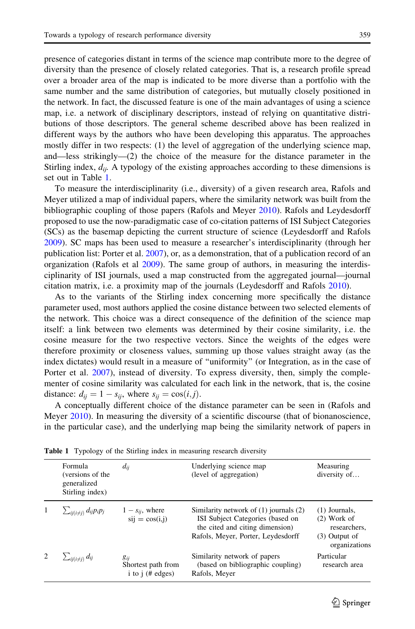presence of categories distant in terms of the science map contribute more to the degree of diversity than the presence of closely related categories. That is, a research profile spread over a broader area of the map is indicated to be more diverse than a portfolio with the same number and the same distribution of categories, but mutually closely positioned in the network. In fact, the discussed feature is one of the main advantages of using a science map, i.e. a network of disciplinary descriptors, instead of relying on quantitative distributions of those descriptors. The general scheme described above has been realized in different ways by the authors who have been developing this apparatus. The approaches mostly differ in two respects: (1) the level of aggregation of the underlying science map, and—less strikingly—(2) the choice of the measure for the distance parameter in the Stirling index,  $d_{ii}$ . A typology of the existing approaches according to these dimensions is set out in Table 1.

To measure the interdisciplinarity (i.e., diversity) of a given research area, Rafols and Meyer utilized a map of individual papers, where the similarity network was built from the bibliographic coupling of those papers (Rafols and Meyer [2010](#page-14-0)). Rafols and Leydesdorff proposed to use the now-paradigmatic case of co-citation patterns of ISI Subject Categories (SCs) as the basemap depicting the current structure of science (Leydesdorff and Rafols [2009\)](#page-14-0). SC maps has been used to measure a researcher's interdisciplinarity (through her publication list: Porter et al. [2007](#page-14-0)), or, as a demonstration, that of a publication record of an organization (Rafols et al [2009\)](#page-14-0). The same group of authors, in measuring the interdisciplinarity of ISI journals, used a map constructed from the aggregated journal––journal citation matrix, i.e. a proximity map of the journals (Leydesdorff and Rafols [2010\)](#page-14-0).

As to the variants of the Stirling index concerning more specifically the distance parameter used, most authors applied the cosine distance between two selected elements of the network. This choice was a direct consequence of the definition of the science map itself: a link between two elements was determined by their cosine similarity, i.e. the cosine measure for the two respective vectors. Since the weights of the edges were therefore proximity or closeness values, summing up those values straight away (as the index dictates) would result in a measure of ''uniformity'' (or Integration, as in the case of Porter et al. [2007\)](#page-14-0), instead of diversity. To express diversity, then, simply the complementer of cosine similarity was calculated for each link in the network, that is, the cosine distance:  $d_{ii} = 1 - s_{ii}$ , where  $s_{ii} = \cos(i, j)$ .

A conceptually different choice of the distance parameter can be seen in (Rafols and Meyer [2010](#page-14-0)). In measuring the diversity of a scientific discourse (that of bionanoscience, in the particular case), and the underlying map being the similarity network of papers in

| Formula<br>(versions of the<br>generalized<br>Stirling index) | $d_{ii}$                                                      | Underlying science map<br>(level of aggregation)                                                                                                        | Measuring<br>diversity of                                                            |
|---------------------------------------------------------------|---------------------------------------------------------------|---------------------------------------------------------------------------------------------------------------------------------------------------------|--------------------------------------------------------------------------------------|
| $\sum_{ij(i\neq j)} d_{ij} p_i p_j$                           | $1 - s_{ii}$ , where<br>$si = cos(i, j)$                      | Similarity network of $(1)$ journals $(2)$<br>ISI Subject Categories (based on<br>the cited and citing dimension)<br>Rafols, Meyer, Porter, Leydesdorff | $(1)$ Journals.<br>$(2)$ Work of<br>researchers.<br>$(3)$ Output of<br>organizations |
| $\sum_{ij(i\neq j)} d_{ij}$                                   | $g_{ii}$<br>Shortest path from<br>i to $\mathbf{i}$ (# edges) | Similarity network of papers<br>(based on bibliographic coupling)<br>Rafols, Meyer                                                                      | Particular<br>research area                                                          |

Table 1 Typology of the Stirling index in measuring research diversity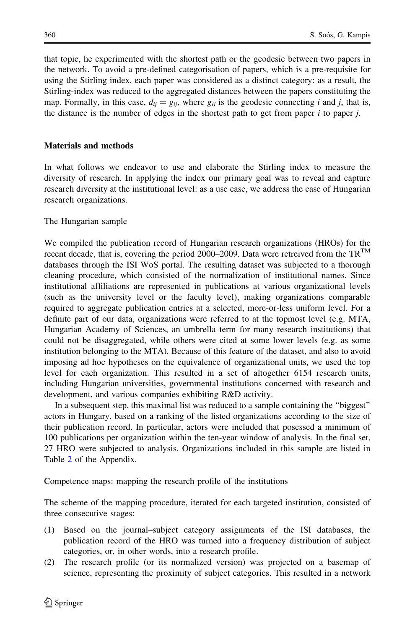that topic, he experimented with the shortest path or the geodesic between two papers in the network. To avoid a pre-defined categorisation of papers, which is a pre-requisite for using the Stirling index, each paper was considered as a distinct category: as a result, the Stirling-index was reduced to the aggregated distances between the papers constituting the map. Formally, in this case,  $d_{ij} = g_{ij}$ , where  $g_{ij}$  is the geodesic connecting i and j, that is, the distance is the number of edges in the shortest path to get from paper  $i$  to paper  $j$ .

## Materials and methods

In what follows we endeavor to use and elaborate the Stirling index to measure the diversity of research. In applying the index our primary goal was to reveal and capture research diversity at the institutional level: as a use case, we address the case of Hungarian research organizations.

## The Hungarian sample

We compiled the publication record of Hungarian research organizations (HROs) for the recent decade, that is, covering the period 2000–2009. Data were retreived from the  $TR^{TM}$ databases through the ISI WoS portal. The resulting dataset was subjected to a thorough cleaning procedure, which consisted of the normalization of institutional names. Since institutional affiliations are represented in publications at various organizational levels (such as the university level or the faculty level), making organizations comparable required to aggregate publication entries at a selected, more-or-less uniform level. For a definite part of our data, organizations were referred to at the topmost level (e.g. MTA, Hungarian Academy of Sciences, an umbrella term for many research institutions) that could not be disaggregated, while others were cited at some lower levels (e.g. as some institution belonging to the MTA). Because of this feature of the dataset, and also to avoid imposing ad hoc hypotheses on the equivalence of organizational units, we used the top level for each organization. This resulted in a set of altogether 6154 research units, including Hungarian universities, governmental institutions concerned with research and development, and various companies exhibiting R&D activity.

In a subsequent step, this maximal list was reduced to a sample containing the ''biggest'' actors in Hungary, based on a ranking of the listed organizations according to the size of their publication record. In particular, actors were included that posessed a minimum of 100 publications per organization within the ten-year window of analysis. In the final set, 27 HRO were subjected to analysis. Organizations included in this sample are listed in Table [2](#page-11-0) of the Appendix.

Competence maps: mapping the research profile of the institutions

The scheme of the mapping procedure, iterated for each targeted institution, consisted of three consecutive stages:

- (1) Based on the journal–subject category assignments of the ISI databases, the publication record of the HRO was turned into a frequency distribution of subject categories, or, in other words, into a research profile.
- (2) The research profile (or its normalized version) was projected on a basemap of science, representing the proximity of subject categories. This resulted in a network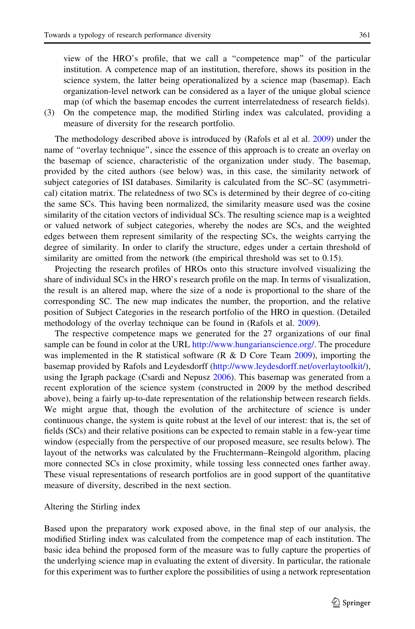view of the HRO's profile, that we call a ''competence map'' of the particular institution. A competence map of an institution, therefore, shows its position in the science system, the latter being operationalized by a science map (basemap). Each organization-level network can be considered as a layer of the unique global science map (of which the basemap encodes the current interrelatedness of research fields).

(3) On the competence map, the modified Stirling index was calculated, providing a measure of diversity for the research portfolio.

The methodology described above is introduced by (Rafols et al et al. [2009](#page-14-0)) under the name of ''overlay technique'', since the essence of this approach is to create an overlay on the basemap of science, characteristic of the organization under study. The basemap, provided by the cited authors (see below) was, in this case, the similarity network of subject categories of ISI databases. Similarity is calculated from the SC–SC (asymmetrical) citation matrix. The relatedness of two SCs is determined by their degree of co-citing the same SCs. This having been normalized, the similarity measure used was the cosine similarity of the citation vectors of individual SCs. The resulting science map is a weighted or valued network of subject categories, whereby the nodes are SCs, and the weighted edges between them represent similarity of the respecting SCs, the weights carrying the degree of similarity. In order to clarify the structure, edges under a certain threshold of similarity are omitted from the network (the empirical threshold was set to 0.15).

Projecting the research profiles of HROs onto this structure involved visualizing the share of individual SCs in the HRO's research profile on the map. In terms of visualization, the result is an altered map, where the size of a node is proportional to the share of the corresponding SC. The new map indicates the number, the proportion, and the relative position of Subject Categories in the research portfolio of the HRO in question. (Detailed methodology of the overlay technique can be found in (Rafols et al. [2009](#page-14-0)).

The respective competence maps we generated for the 27 organizations of our final sample can be found in color at the URL [http://www.hungarianscience.org/.](http://www.hungarianscience.org/) The procedure was implemented in the R statistical software  $(R \& D)$  Core Team [2009\)](#page-14-0), importing the basemap provided by Rafols and Leydesdorff (<http://www.leydesdorff.net/overlaytoolkit/>), using the Igraph package (Csardi and Nepusz [2006\)](#page-14-0). This basemap was generated from a recent exploration of the science system (constructed in 2009 by the method described above), being a fairly up-to-date representation of the relationship between research fields. We might argue that, though the evolution of the architecture of science is under continuous change, the system is quite robust at the level of our interest: that is, the set of fields (SCs) and their relative positions can be expected to remain stable in a few-year time window (especially from the perspective of our proposed measure, see results below). The layout of the networks was calculated by the Fruchtermann–Reingold algorithm, placing more connected SCs in close proximity, while tossing less connected ones farther away. These visual representations of research portfolios are in good support of the quantitative measure of diversity, described in the next section.

### Altering the Stirling index

Based upon the preparatory work exposed above, in the final step of our analysis, the modified Stirling index was calculated from the competence map of each institution. The basic idea behind the proposed form of the measure was to fully capture the properties of the underlying science map in evaluating the extent of diversity. In particular, the rationale for this experiment was to further explore the possibilities of using a network representation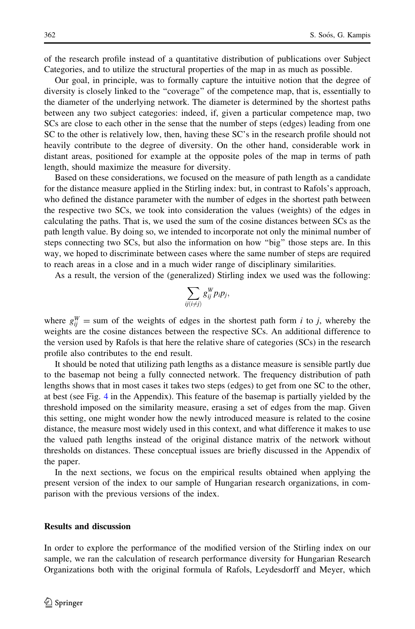of the research profile instead of a quantitative distribution of publications over Subject Categories, and to utilize the structural properties of the map in as much as possible.

Our goal, in principle, was to formally capture the intuitive notion that the degree of diversity is closely linked to the ''coverage'' of the competence map, that is, essentially to the diameter of the underlying network. The diameter is determined by the shortest paths between any two subject categories: indeed, if, given a particular competence map, two SCs are close to each other in the sense that the number of steps (edges) leading from one SC to the other is relatively low, then, having these SC's in the research profile should not heavily contribute to the degree of diversity. On the other hand, considerable work in distant areas, positioned for example at the opposite poles of the map in terms of path length, should maximize the measure for diversity.

Based on these considerations, we focused on the measure of path length as a candidate for the distance measure applied in the Stirling index: but, in contrast to Rafols's approach, who defined the distance parameter with the number of edges in the shortest path between the respective two SCs, we took into consideration the values (weights) of the edges in calculating the paths. That is, we used the sum of the cosine distances between SCs as the path length value. By doing so, we intended to incorporate not only the minimal number of steps connecting two SCs, but also the information on how ''big'' those steps are. In this way, we hoped to discriminate between cases where the same number of steps are required to reach areas in a close and in a much wider range of disciplinary similarities.

As a result, the version of the (generalized) Stirling index we used was the following:

$$
\sum_{ij(i\neq j)} g_{ij}^W p_i p_j,
$$

where  $g_{ij}^W$  = sum of the weights of edges in the shortest path form *i* to *j*, whereby the weights are the cosine distances between the respective SCs. An additional difference to the version used by Rafols is that here the relative share of categories (SCs) in the research profile also contributes to the end result.

It should be noted that utilizing path lengths as a distance measure is sensible partly due to the basemap not being a fully connected network. The frequency distribution of path lengths shows that in most cases it takes two steps (edges) to get from one SC to the other, at best (see Fig. [4](#page-13-0) in the Appendix). This feature of the basemap is partially yielded by the threshold imposed on the similarity measure, erasing a set of edges from the map. Given this setting, one might wonder how the newly introduced measure is related to the cosine distance, the measure most widely used in this context, and what difference it makes to use the valued path lengths instead of the original distance matrix of the network without thresholds on distances. These conceptual issues are briefly discussed in the Appendix of the paper.

In the next sections, we focus on the empirical results obtained when applying the present version of the index to our sample of Hungarian research organizations, in comparison with the previous versions of the index.

#### Results and discussion

In order to explore the performance of the modified version of the Stirling index on our sample, we ran the calculation of research performance diversity for Hungarian Research Organizations both with the original formula of Rafols, Leydesdorff and Meyer, which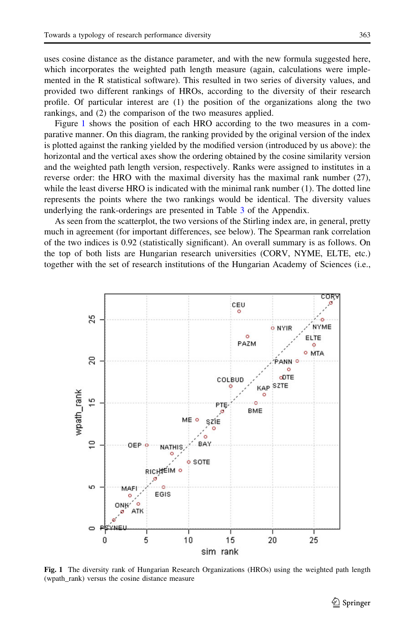uses cosine distance as the distance parameter, and with the new formula suggested here, which incorporates the weighted path length measure (again, calculations were implemented in the R statistical software). This resulted in two series of diversity values, and provided two different rankings of HROs, according to the diversity of their research profile. Of particular interest are (1) the position of the organizations along the two rankings, and (2) the comparison of the two measures applied.

Figure 1 shows the position of each HRO according to the two measures in a comparative manner. On this diagram, the ranking provided by the original version of the index is plotted against the ranking yielded by the modified version (introduced by us above): the horizontal and the vertical axes show the ordering obtained by the cosine similarity version and the weighted path length version, respectively. Ranks were assigned to institutes in a reverse order: the HRO with the maximal diversity has the maximal rank number (27), while the least diverse HRO is indicated with the minimal rank number (1). The dotted line represents the points where the two rankings would be identical. The diversity values underlying the rank-orderings are presented in Table [3](#page-12-0) of the Appendix.

As seen from the scatterplot, the two versions of the Stirling index are, in general, pretty much in agreement (for important differences, see below). The Spearman rank correlation of the two indices is 0.92 (statistically significant). An overall summary is as follows. On the top of both lists are Hungarian research universities (CORV, NYME, ELTE, etc.) together with the set of research institutions of the Hungarian Academy of Sciences (i.e.,



Fig. 1 The diversity rank of Hungarian Research Organizations (HROs) using the weighted path length (wpath\_rank) versus the cosine distance measure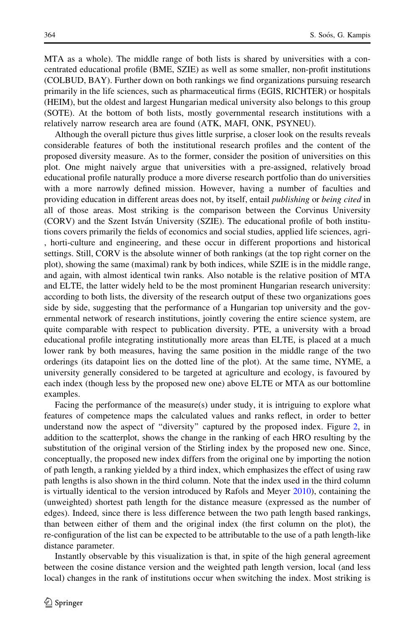MTA as a whole). The middle range of both lists is shared by universities with a concentrated educational profile (BME, SZIE) as well as some smaller, non-profit institutions (COLBUD, BAY). Further down on both rankings we find organizations pursuing research primarily in the life sciences, such as pharmaceutical firms (EGIS, RICHTER) or hospitals (HEIM), but the oldest and largest Hungarian medical university also belongs to this group (SOTE). At the bottom of both lists, mostly governmental research institutions with a relatively narrow research area are found (ATK, MAFI, ONK, PSYNEU).

Although the overall picture thus gives little surprise, a closer look on the results reveals considerable features of both the institutional research profiles and the content of the proposed diversity measure. As to the former, consider the position of universities on this plot. One might naively argue that universities with a pre-assigned, relatively broad educational profile naturally produce a more diverse research portfolio than do universities with a more narrowly defined mission. However, having a number of faculties and providing education in different areas does not, by itself, entail *publishing* or *being cited* in all of those areas. Most striking is the comparison between the Corvinus University (CORV) and the Szent István University (SZIE). The educational profile of both institutions covers primarily the fields of economics and social studies, applied life sciences, agri- , horti-culture and engineering, and these occur in different proportions and historical settings. Still, CORV is the absolute winner of both rankings (at the top right corner on the plot), showing the same (maximal) rank by both indices, while SZIE is in the middle range, and again, with almost identical twin ranks. Also notable is the relative position of MTA and ELTE, the latter widely held to be the most prominent Hungarian research university: according to both lists, the diversity of the research output of these two organizations goes side by side, suggesting that the performance of a Hungarian top university and the governmental network of research institutions, jointly covering the entire science system, are quite comparable with respect to publication diversity. PTE, a university with a broad educational profile integrating institutionally more areas than ELTE, is placed at a much lower rank by both measures, having the same position in the middle range of the two orderings (its datapoint lies on the dotted line of the plot). At the same time, NYME, a university generally considered to be targeted at agriculture and ecology, is favoured by each index (though less by the proposed new one) above ELTE or MTA as our bottomline examples.

Facing the performance of the measure(s) under study, it is intriguing to explore what features of competence maps the calculated values and ranks reflect, in order to better understand now the aspect of ''diversity'' captured by the proposed index. Figure [2,](#page-8-0) in addition to the scatterplot, shows the change in the ranking of each HRO resulting by the substitution of the original version of the Stirling index by the proposed new one. Since, conceptually, the proposed new index differs from the original one by importing the notion of path length, a ranking yielded by a third index, which emphasizes the effect of using raw path lengths is also shown in the third column. Note that the index used in the third column is virtually identical to the version introduced by Rafols and Meyer [2010](#page-14-0)), containing the (unweighted) shortest path length for the distance measure (expressed as the number of edges). Indeed, since there is less difference between the two path length based rankings, than between either of them and the original index (the first column on the plot), the re-configuration of the list can be expected to be attributable to the use of a path length-like distance parameter.

Instantly observable by this visualization is that, in spite of the high general agreement between the cosine distance version and the weighted path length version, local (and less local) changes in the rank of institutions occur when switching the index. Most striking is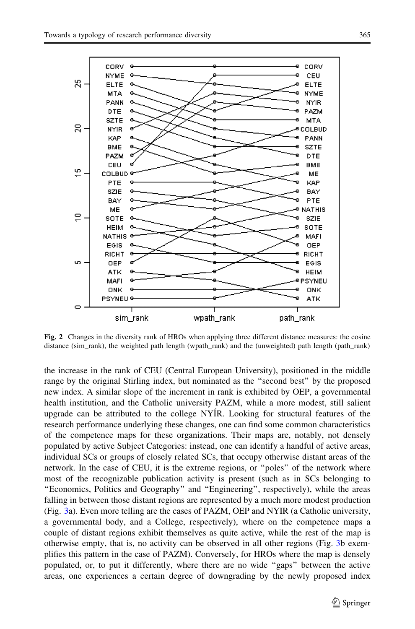<span id="page-8-0"></span>

Fig. 2 Changes in the diversity rank of HROs when applying three different distance measures: the cosine distance (sim\_rank), the weighted path length (wpath\_rank) and the (unweighted) path length (path\_rank)

the increase in the rank of CEU (Central European University), positioned in the middle range by the original Stirling index, but nominated as the ''second best'' by the proposed new index. A similar slope of the increment in rank is exhibited by OEP, a governmental health institution, and the Catholic university PAZM, while a more modest, still salient upgrade can be attributed to the college NY $\overline{IR}$ . Looking for structural features of the research performance underlying these changes, one can find some common characteristics of the competence maps for these organizations. Their maps are, notably, not densely populated by active Subject Categories: instead, one can identify a handful of active areas, individual SCs or groups of closely related SCs, that occupy otherwise distant areas of the network. In the case of CEU, it is the extreme regions, or ''poles'' of the network where most of the recognizable publication activity is present (such as in SCs belonging to "Economics, Politics and Geography" and "Engineering", respectively), while the areas falling in between those distant regions are represented by a much more modest production (Fig. [3a](#page-9-0)). Even more telling are the cases of PAZM, OEP and NYIR (a Catholic university, a governmental body, and a College, respectively), where on the competence maps a couple of distant regions exhibit themselves as quite active, while the rest of the map is otherwise empty, that is, no activity can be observed in all other regions (Fig. [3b](#page-9-0) exemplifies this pattern in the case of PAZM). Conversely, for HROs where the map is densely populated, or, to put it differently, where there are no wide ''gaps'' between the active areas, one experiences a certain degree of downgrading by the newly proposed index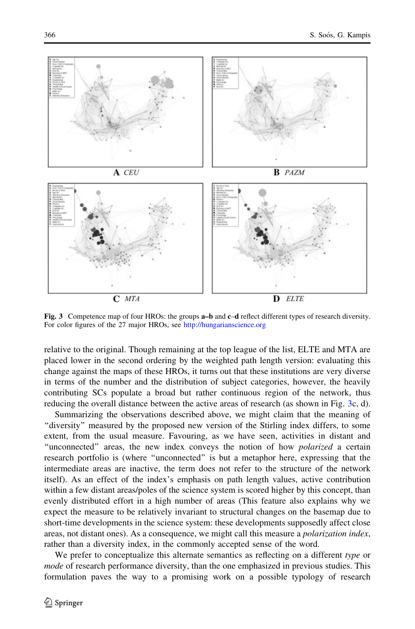<span id="page-9-0"></span>

Fig. 3 Competence map of four HROs: the groups a–b and c–d reflect different types of research diversity. For color figures of the 27 major HROs, see <http://hungarianscience.org>

relative to the original. Though remaining at the top league of the list, ELTE and MTA are placed lower in the second ordering by the weighted path length version: evaluating this change against the maps of these HROs, it turns out that these institutions are very diverse in terms of the number and the distribution of subject categories, however, the heavily contributing SCs populate a broad but rather continuous region of the network, thus reducing the overall distance between the active areas of research (as shown in Fig. 3c, d).

Summarizing the observations described above, we might claim that the meaning of ''diversity'' measured by the proposed new version of the Stirling index differs, to some extent, from the usual measure. Favouring, as we have seen, activities in distant and ''unconnected'' areas, the new index conveys the notion of how polarized a certain research portfolio is (where ''unconnected'' is but a metaphor here, expressing that the intermediate areas are inactive, the term does not refer to the structure of the network itself). As an effect of the index's emphasis on path length values, active contribution within a few distant areas/poles of the science system is scored higher by this concept, than evenly distributed effort in a high number of areas (This feature also explains why we expect the measure to be relatively invariant to structural changes on the basemap due to short-time developments in the science system: these developments supposedly affect close areas, not distant ones). As a consequence, we might call this measure a polarization index, rather than a diversity index, in the commonly accepted sense of the word.

We prefer to conceptualize this alternate semantics as reflecting on a different type or mode of research performance diversity, than the one emphasized in previous studies. This formulation paves the way to a promising work on a possible typology of research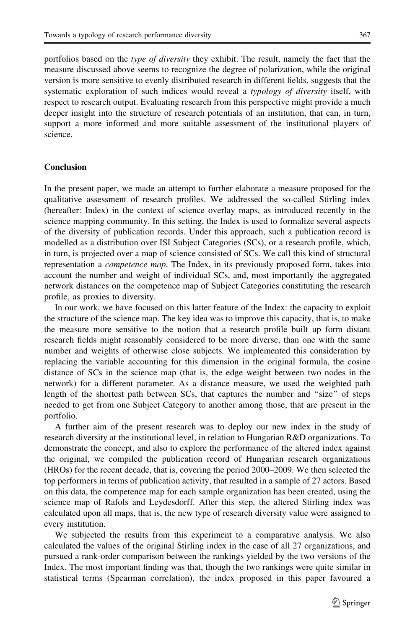portfolios based on the type of diversity they exhibit. The result, namely the fact that the measure discussed above seems to recognize the degree of polarization, while the original version is more sensitive to evenly distributed research in different fields, suggests that the systematic exploration of such indices would reveal a typology of diversity itself, with respect to research output. Evaluating research from this perspective might provide a much deeper insight into the structure of research potentials of an institution, that can, in turn, support a more informed and more suitable assessment of the institutional players of science.

#### Conclusion

In the present paper, we made an attempt to further elaborate a measure proposed for the qualitative assessment of research profiles. We addressed the so-called Stirling index (hereafter: Index) in the context of science overlay maps, as introduced recently in the science mapping community. In this setting, the Index is used to formalize several aspects of the diversity of publication records. Under this approach, such a publication record is modelled as a distribution over ISI Subject Categories (SCs), or a research profile, which, in turn, is projected over a map of science consisted of SCs. We call this kind of structural representation a *competence map*. The Index, in its previously proposed form, takes into account the number and weight of individual SCs, and, most importantly the aggregated network distances on the competence map of Subject Categories constituting the research profile, as proxies to diversity.

In our work, we have focused on this latter feature of the Index: the capacity to exploit the structure of the science map. The key idea was to improve this capacity, that is, to make the measure more sensitive to the notion that a research profile built up form distant research fields might reasonably considered to be more diverse, than one with the same number and weights of otherwise close subjects. We implemented this consideration by replacing the variable accounting for this dimension in the original formula, the cosine distance of SCs in the science map (that is, the edge weight between two nodes in the network) for a different parameter. As a distance measure, we used the weighted path length of the shortest path between SCs, that captures the number and ''size'' of steps needed to get from one Subject Category to another among those, that are present in the portfolio.

A further aim of the present research was to deploy our new index in the study of research diversity at the institutional level, in relation to Hungarian R&D organizations. To demonstrate the concept, and also to explore the performance of the altered index against the original, we compiled the publication record of Hungarian research organizations (HROs) for the recent decade, that is, covering the period 2000–2009. We then selected the top performers in terms of publication activity, that resulted in a sample of 27 actors. Based on this data, the competence map for each sample organization has been created, using the science map of Rafols and Leydesdorff. After this step, the altered Stirling index was calculated upon all maps, that is, the new type of research diversity value were assigned to every institution.

We subjected the results from this experiment to a comparative analysis. We also calculated the values of the original Stirling index in the case of all 27 organizations, and pursued a rank-order comparison between the rankings yielded by the two versions of the Index. The most important finding was that, though the two rankings were quite similar in statistical terms (Spearman correlation), the index proposed in this paper favoured a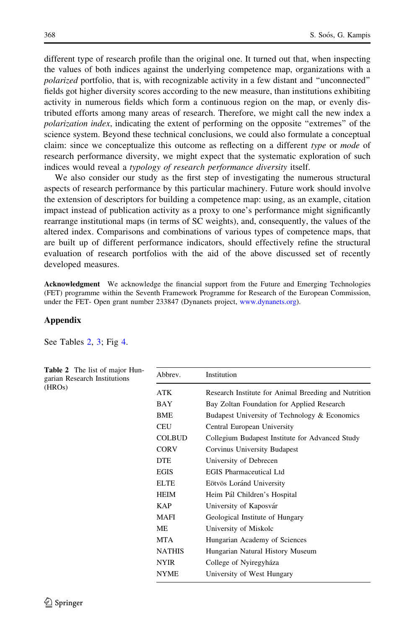<span id="page-11-0"></span>different type of research profile than the original one. It turned out that, when inspecting the values of both indices against the underlying competence map, organizations with a polarized portfolio, that is, with recognizable activity in a few distant and ''unconnected'' fields got higher diversity scores according to the new measure, than institutions exhibiting activity in numerous fields which form a continuous region on the map, or evenly distributed efforts among many areas of research. Therefore, we might call the new index a polarization index, indicating the extent of performing on the opposite ''extremes'' of the science system. Beyond these technical conclusions, we could also formulate a conceptual claim: since we conceptualize this outcome as reflecting on a different type or mode of research performance diversity, we might expect that the systematic exploration of such indices would reveal a typology of research performance diversity itself.

We also consider our study as the first step of investigating the numerous structural aspects of research performance by this particular machinery. Future work should involve the extension of descriptors for building a competence map: using, as an example, citation impact instead of publication activity as a proxy to one's performance might significantly rearrange institutional maps (in terms of SC weights), and, consequently, the values of the altered index. Comparisons and combinations of various types of competence maps, that are built up of different performance indicators, should effectively refine the structural evaluation of research portfolios with the aid of the above discussed set of recently developed measures.

Acknowledgment We acknowledge the financial support from the Future and Emerging Technologies (FET) programme within the Seventh Framework Programme for Research of the European Commission, under the FET- Open grant number 233847 (Dynanets project, [www.dynanets.org](http://www.dynanets.org)).

### Appendix

See Tables 2, [3](#page-12-0); Fig [4](#page-13-0).

Table 2 The list of major Hungarian Research Institutions (HROs)

| Abbrev.       | Institution                                          |  |  |
|---------------|------------------------------------------------------|--|--|
| ATK           | Research Institute for Animal Breeding and Nutrition |  |  |
| <b>BAY</b>    | Bay Zoltan Foundation for Applied Research           |  |  |
| <b>BME</b>    | Budapest University of Technology & Economics        |  |  |
| CEU           | Central European University                          |  |  |
| <b>COLBUD</b> | Collegium Budapest Institute for Advanced Study      |  |  |
| <b>CORV</b>   | Corvinus University Budapest                         |  |  |
| <b>DTE</b>    | University of Debrecen                               |  |  |
| <b>EGIS</b>   | <b>EGIS</b> Pharmaceutical Ltd                       |  |  |
| <b>ELTE</b>   | Eötvös Loránd University                             |  |  |
| <b>HEIM</b>   | Heim Pál Children's Hospital                         |  |  |
| KAP           | University of Kaposvár                               |  |  |
| MAFI          | Geological Institute of Hungary                      |  |  |
| ME.           | University of Miskolc                                |  |  |
| <b>MTA</b>    | Hungarian Academy of Sciences                        |  |  |
| <b>NATHIS</b> | Hungarian Natural History Museum                     |  |  |
| <b>NYIR</b>   | College of Nyiregyháza                               |  |  |
| <b>NYME</b>   | University of West Hungary                           |  |  |
|               |                                                      |  |  |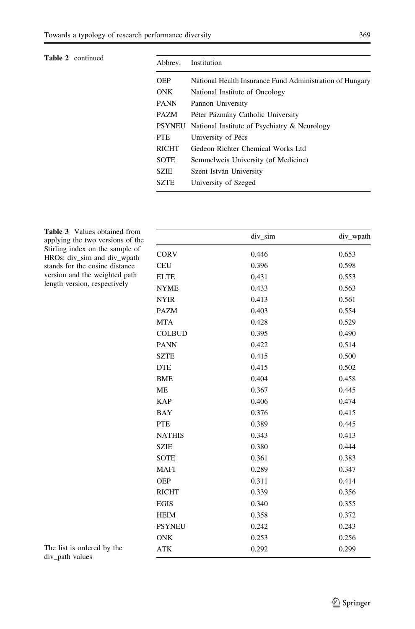### <span id="page-12-0"></span>Table 2 continued

| Abbrev.       | Institution                                              |
|---------------|----------------------------------------------------------|
| <b>OEP</b>    | National Health Insurance Fund Administration of Hungary |
| <b>ONK</b>    | National Institute of Oncology                           |
| <b>PANN</b>   | Pannon University                                        |
| <b>PAZM</b>   | Péter Pázmány Catholic University                        |
| <b>PSYNEU</b> | National Institute of Psychiatry & Neurology             |
| PTE.          | University of Pécs                                       |
| <b>RICHT</b>  | Gedeon Richter Chemical Works Ltd                        |
| <b>SOTE</b>   | Semmelweis University (of Medicine)                      |
| <b>SZIE</b>   | Szent István University                                  |
| SZTE          | University of Szeged                                     |
|               |                                                          |

|               | div_sim | div_wpath |
|---------------|---------|-----------|
| <b>CORV</b>   | 0.446   | 0.653     |
| <b>CEU</b>    | 0.396   | 0.598     |
| <b>ELTE</b>   | 0.431   | 0.553     |
| <b>NYME</b>   | 0.433   | 0.563     |
| <b>NYIR</b>   | 0.413   | 0.561     |
| <b>PAZM</b>   | 0.403   | 0.554     |
| <b>MTA</b>    | 0.428   | 0.529     |
| <b>COLBUD</b> | 0.395   | 0.490     |
| <b>PANN</b>   | 0.422   | 0.514     |
| <b>SZTE</b>   | 0.415   | 0.500     |
| <b>DTE</b>    | 0.415   | 0.502     |
| <b>BME</b>    | 0.404   | 0.458     |
| <b>ME</b>     | 0.367   | 0.445     |
| <b>KAP</b>    | 0.406   | 0.474     |
| <b>BAY</b>    | 0.376   | 0.415     |
| <b>PTE</b>    | 0.389   | 0.445     |
| <b>NATHIS</b> | 0.343   | 0.413     |
| <b>SZIE</b>   | 0.380   | 0.444     |
| <b>SOTE</b>   | 0.361   | 0.383     |
| <b>MAFI</b>   | 0.289   | 0.347     |
| <b>OEP</b>    | 0.311   | 0.414     |
| <b>RICHT</b>  | 0.339   | 0.356     |
| <b>EGIS</b>   | 0.340   | 0.355     |
| <b>HEIM</b>   | 0.358   | 0.372     |
| <b>PSYNEU</b> | 0.242   | 0.243     |
| <b>ONK</b>    | 0.253   | 0.256     |
| <b>ATK</b>    | 0.292   | 0.299     |

The list is ordered by the div\_path values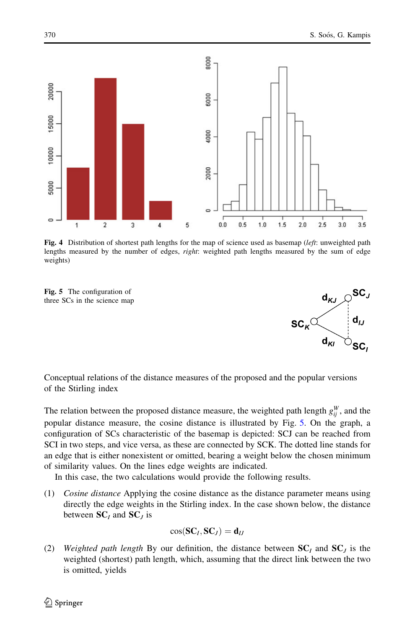$\alpha_{\kappa}$   $\beta_{\kappa}$   $\alpha_{\kappa}$ 

<span id="page-13-0"></span>

Fig. 4 Distribution of shortest path lengths for the map of science used as basemap (left: unweighted path lengths measured by the number of edges, right: weighted path lengths measured by the sum of edge weights)



Conceptual relations of the distance measures of the proposed and the popular versions of the Stirling index

The relation between the proposed distance measure, the weighted path length  $g_{ij}^W$ , and the popular distance measure, the cosine distance is illustrated by Fig. 5. On the graph, a configuration of SCs characteristic of the basemap is depicted: SCJ can be reached from SCI in two steps, and vice versa, as these are connected by SCK. The dotted line stands for an edge that is either nonexistent or omitted, bearing a weight below the chosen minimum of similarity values. On the lines edge weights are indicated.

In this case, the two calculations would provide the following results.

(1) Cosine distance Applying the cosine distance as the distance parameter means using directly the edge weights in the Stirling index. In the case shown below, the distance between  $SC_I$  and  $SC_J$  is

$$
\cos(\mathbf{SC}_I, \mathbf{SC}_J) = \mathbf{d}_{IJ}
$$

(2) Weighted path length By our definition, the distance between  $SC_I$  and  $SC_J$  is the weighted (shortest) path length, which, assuming that the direct link between the two is omitted, yields